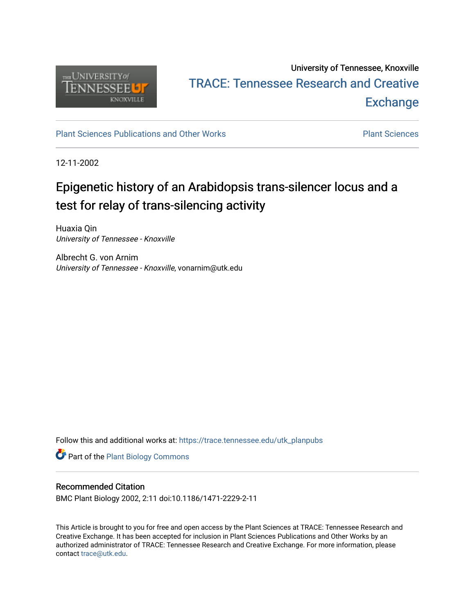

# University of Tennessee, Knoxville TRACE: T[ennessee Research and Cr](https://trace.tennessee.edu/)eative **Exchange**

## [Plant Sciences Publications and Other Works](https://trace.tennessee.edu/utk_planpubs) **Plant Sciences** Plant Sciences

12-11-2002

# Epigenetic history of an Arabidopsis trans-silencer locus and a test for relay of trans-silencing activity

Huaxia Qin University of Tennessee - Knoxville

Albrecht G. von Arnim University of Tennessee - Knoxville, vonarnim@utk.edu

Follow this and additional works at: [https://trace.tennessee.edu/utk\\_planpubs](https://trace.tennessee.edu/utk_planpubs?utm_source=trace.tennessee.edu%2Futk_planpubs%2F55&utm_medium=PDF&utm_campaign=PDFCoverPages) 

Part of the [Plant Biology Commons](https://network.bepress.com/hgg/discipline/106?utm_source=trace.tennessee.edu%2Futk_planpubs%2F55&utm_medium=PDF&utm_campaign=PDFCoverPages) 

### Recommended Citation

BMC Plant Biology 2002, 2:11 doi:10.1186/1471-2229-2-11

This Article is brought to you for free and open access by the Plant Sciences at TRACE: Tennessee Research and Creative Exchange. It has been accepted for inclusion in Plant Sciences Publications and Other Works by an authorized administrator of TRACE: Tennessee Research and Creative Exchange. For more information, please contact [trace@utk.edu](mailto:trace@utk.edu).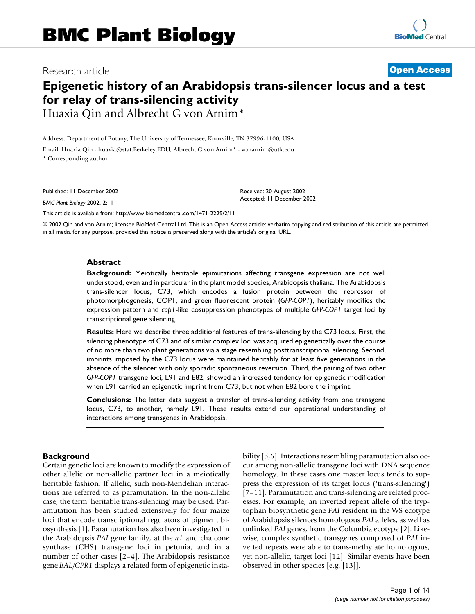## Research article **[Open Access](http://www.biomedcentral.com/info/about/charter/)**

## **Epigenetic history of an Arabidopsis trans-silencer locus and a test for relay of trans-silencing activity** Huaxia Qin and Albrecht G von Arnim\*

Address: Department of Botany, The University of Tennessee, Knoxville, TN 37996-1100, USA Email: Huaxia Qin - huaxia@stat.Berkeley.EDU; Albrecht G von Arnim\* - vonarnim@utk.edu \* Corresponding author

Published: 11 December 2002

*BMC Plant Biology* 2002, **2**:11

[This article is available from: http://www.biomedcentral.com/1471-2229/2/11](http://www.biomedcentral.com/1471-2229/2/11)

© 2002 Qin and von Arnim; licensee BioMed Central Ltd. This is an Open Access article: verbatim copying and redistribution of this article are permitted in all media for any purpose, provided this notice is preserved along with the article's original URL.

Received: 20 August 2002 Accepted: 11 December 2002

#### **Abstract**

**Background:** Meiotically heritable epimutations affecting transgene expression are not well understood, even and in particular in the plant model species, Arabidopsis thaliana. The Arabidopsis trans-silencer locus, C73, which encodes a fusion protein between the repressor of photomorphogenesis, COP1, and green fluorescent protein (*GFP-COP1*), heritably modifies the expression pattern and *cop1*-like cosuppression phenotypes of multiple *GFP-COP1* target loci by transcriptional gene silencing.

**Results:** Here we describe three additional features of trans-silencing by the C73 locus. First, the silencing phenotype of C73 and of similar complex loci was acquired epigenetically over the course of no more than two plant generations via a stage resembling posttranscriptional silencing. Second, imprints imposed by the C73 locus were maintained heritably for at least five generations in the absence of the silencer with only sporadic spontaneous reversion. Third, the pairing of two other *GFP-COP1* transgene loci, L91 and E82, showed an increased tendency for epigenetic modification when L91 carried an epigenetic imprint from C73, but not when E82 bore the imprint.

**Conclusions:** The latter data suggest a transfer of trans-silencing activity from one transgene locus, C73, to another, namely L91. These results extend our operational understanding of interactions among transgenes in Arabidopsis.

#### **Background**

Certain genetic loci are known to modify the expression of other allelic or non-allelic partner loci in a meiotically heritable fashion. If allelic, such non-Mendelian interactions are referred to as paramutation. In the non-allelic case, the term 'heritable trans-silencing' may be used. Paramutation has been studied extensively for four maize loci that encode transcriptional regulators of pigment biosynthesis [\[1\]](#page-13-0). Paramutation has also been investigated in the Arabidopsis *PAI* gene family, at the *a1* and chalcone synthase (CHS) transgene loci in petunia, and in a number of other cases [[2](#page-13-1)[–4\]](#page-13-2). The Arabidopsis resistance gene *BAL/CPR1* displays a related form of epigenetic instability [[5](#page-13-3)[,6\]](#page-14-0). Interactions resembling paramutation also occur among non-allelic transgene loci with DNA sequence homology. In these cases one master locus tends to suppress the expression of its target locus ('trans-silencing') [[7](#page-14-1)[–11](#page-14-2)]. Paramutation and trans-silencing are related processes. For example, an inverted repeat allele of the tryptophan biosynthetic gene *PAI* resident in the WS ecotype of Arabidopsis silences homologous *PAI* alleles, as well as unlinked *PAI* genes, from the Columbia ecotype [[2](#page-13-1)]. Likewise, complex synthetic transgenes composed of *PAI* inverted repeats were able to trans-methylate homologous, yet non-allelic, target loci [[12\]](#page-14-3). Similar events have been observed in other species [e.g. [[13\]](#page-14-4)].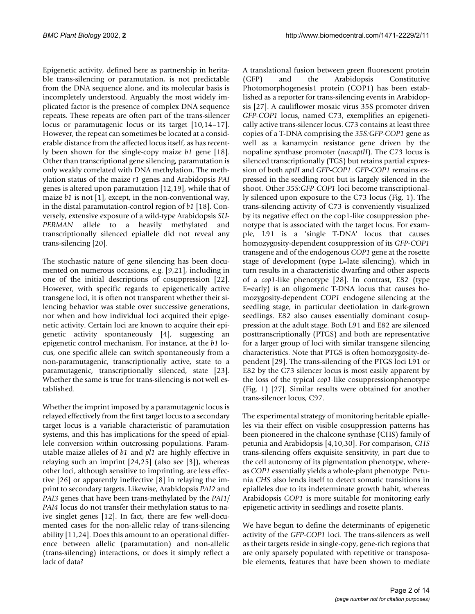Epigenetic activity, defined here as partnership in heritable trans-silencing or paramutation, is not predictable from the DNA sequence alone, and its molecular basis is incompletely understood. Arguably the most widely implicated factor is the presence of complex DNA sequence repeats. These repeats are often part of the trans-silencer locus or paramutagenic locus or its target [[10,](#page-14-5)[14](#page-14-6)[–17](#page-14-7)]. However, the repeat can sometimes be located at a considerable distance from the affected locus itself, as has recently been shown for the single-copy maize *b1* gene [\[18](#page-14-8)]. Other than transcriptional gene silencing, paramutation is only weakly correlated with DNA methylation. The methylation status of the maize *r1* genes and Arabidopsis *PAI* genes is altered upon paramutation [[12](#page-14-3)[,19](#page-14-9)], while that of maize *b[1](#page-13-0)* is not [1], except, in the non-conventional way, in the distal paramutation-control region of *b1* [[18\]](#page-14-8). Conversely, extensive exposure of a wild-type Arabidopsis *SU-*PERMAN allele to a heavily methylated and transcriptionally silenced epiallele did not reveal any trans-silencing [\[20](#page-14-10)].

The stochastic nature of gene silencing has been documented on numerous occasions, e.g. [[9](#page-14-11),[21](#page-14-12)], including in one of the initial descriptions of cosuppression [\[22](#page-14-13)]. However, with specific regards to epigenetically active transgene loci, it is often not transparent whether their silencing behavior was stable over successive generations, nor when and how individual loci acquired their epigenetic activity. Certain loci are known to acquire their epigenetic activity spontaneously [\[4\]](#page-13-2), suggesting an epigenetic control mechanism. For instance, at the *b1* locus, one specific allele can switch spontaneously from a non-paramutagenic, transcriptionally active, state to a paramutagenic, transcriptionally silenced, state [\[23](#page-14-14)]. Whether the same is true for trans-silencing is not well established.

Whether the imprint imposed by a paramutagenic locus is relayed effectively from the first target locus to a secondary target locus is a variable characteristic of paramutation systems, and this has implications for the speed of epiallele conversion within outcrossing populations. Paramutable maize alleles of *b1* and *pl1* are highly effective in relaying such an imprint [\[24](#page-14-15)[,25](#page-14-16)] (also see [\[3\]](#page-13-4)), whereas other loci, although sensitive to imprinting, are less effective [[26\]](#page-14-17) or apparently ineffective [\[8\]](#page-14-18) in relaying the imprint to secondary targets. Likewise, Arabidopsis *PAI2* and *PAI3* genes that have been trans-methylated by the *PAI1/ PAI4* locus do not transfer their methylation status to naive singlet genes [\[12](#page-14-3)]. In fact, there are few well-documented cases for the non-allelic relay of trans-silencing ability [\[11](#page-14-2),[24\]](#page-14-15). Does this amount to an operational difference between allelic (paramutation) and non-allelic (trans-silencing) interactions, or does it simply reflect a lack of data?

A translational fusion between green fluorescent protein (GFP) and the Arabidopsis Constitutive Photomorphogenesis1 protein (COP1) has been established as a reporter for trans-silencing events in Arabidopsis [\[27\]](#page-14-19). A cauliflower mosaic virus 35S promoter driven *GFP-COP1* locus, named C73, exemplifies an epigenetically active trans-silencer locus. C73 contains at least three copies of a T-DNA comprising the *35S:GFP-COP1* gene as well as a kanamycin resistance gene driven by the nopaline synthase promoter (*nos:nptII*). The C73 locus is silenced transcriptionally (TGS) but retains partial expression of both *nptII* and *GFP-COP1*. *GFP-COP1* remains expressed in the seedling root but is largely silenced in the shoot. Other *35S:GFP-COP1* loci become transcriptionally silenced upon exposure to the C73 locus (Fig. [1\)](#page-3-0). The trans-silencing activity of C73 is conveniently visualized by its negative effect on the cop1-like cosuppression phenotype that is associated with the target locus. For example, L91 is a 'single T-DNA' locus that causes homozygosity-dependent cosuppression of its *GFP-COP1* transgene and of the endogenous *COP1* gene at the rosette stage of development (type L=late silencing), which in turn results in a characteristic dwarfing and other aspects of a *cop1*-like phenotype [[28](#page-14-20)]. In contrast, E82 (type E=early) is an oligomeric T-DNA locus that causes homozygosity-dependent *COP1* endogene silencing at the seedling stage, in particular deetiolation in dark-grown seedlings. E82 also causes essentially dominant cosuppression at the adult stage. Both L91 and E82 are silenced posttranscriptionally (PTGS) and both are representative for a larger group of loci with similar transgene silencing characteristics. Note that PTGS is often homozygosity-dependent [[29\]](#page-14-21). The trans-silencing of the PTGS loci L91 or E82 by the C73 silencer locus is most easily apparent by the loss of the typical *cop1-*like cosuppressionphenotype (Fig. [1\)](#page-3-0) [[27\]](#page-14-19). Similar results were obtained for another trans-silencer locus, C97.

The experimental strategy of monitoring heritable epialleles via their effect on visible cosuppression patterns has been pioneered in the chalcone synthase (CHS) family of petunia and Arabidopsis [\[4](#page-13-2)[,10](#page-14-5),[30\]](#page-14-22). For comparison, *CHS* trans-silencing offers exquisite sensitivity, in part due to the cell autonomy of its pigmentation phenotype, whereas *COP1* essentially yields a whole-plant phenotype. Petunia *CHS* also lends itself to detect somatic transitions in epialleles due to its indeterminate growth habit, whereas Arabidopsis *COP1* is more suitable for monitoring early epigenetic activity in seedlings and rosette plants.

We have begun to define the determinants of epigenetic activity of the *GFP-COP1* loci. The trans-silencers as well as their targets reside in single-copy, gene-rich regions that are only sparsely populated with repetitive or transposable elements, features that have been shown to mediate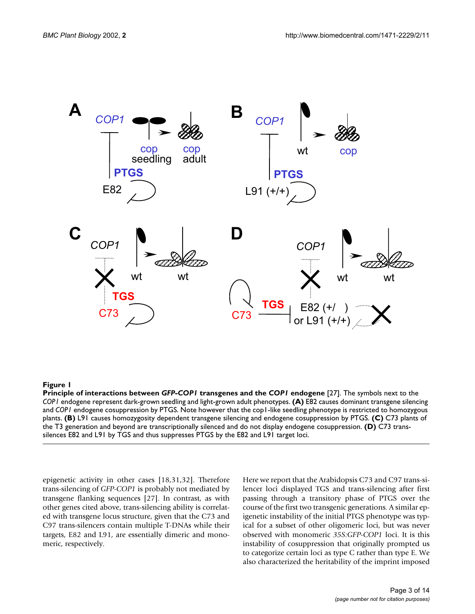<span id="page-3-0"></span>

**Principle of interactions between** *GFP-COP1* **transgenes and the** *COP1* **endogene** [[27\]](#page-14-19). The symbols next to the *COP1* endogene represent dark-grown seedling and light-grown adult phenotypes. **(A)** E82 causes dominant transgene silencing and *COP1* endogene cosuppression by PTGS. Note however that the cop1-like seedling phenotype is restricted to homozygous plants. **(B)** L91 causes homozygosity dependent transgene silencing and endogene cosuppression by PTGS. **(C)** C73 plants of the T3 generation and beyond are transcriptionally silenced and do not display endogene cosuppression. **(D)** C73 transsilences E82 and L91 by TGS and thus suppresses PTGS by the E82 and L91 target loci.

epigenetic activity in other cases [[18,](#page-14-8)[31](#page-14-23)[,32](#page-14-24)]. Therefore trans-silencing of *GFP-COP1* is probably not mediated by transgene flanking sequences [\[27\]](#page-14-19). In contrast, as with other genes cited above, trans-silencing ability is correlated with transgene locus structure, given that the C73 and C97 trans-silencers contain multiple T-DNAs while their targets, E82 and L91, are essentially dimeric and monomeric, respectively.

Here we report that the Arabidopsis C73 and C97 trans-silencer loci displayed TGS and trans-silencing after first passing through a transitory phase of PTGS over the course of the first two transgenic generations. A similar epigenetic instability of the initial PTGS phenotype was typical for a subset of other oligomeric loci, but was never observed with monomeric *35S:GFP-COP1* loci. It is this instability of cosuppression that originally prompted us to categorize certain loci as type C rather than type E. We also characterized the heritability of the imprint imposed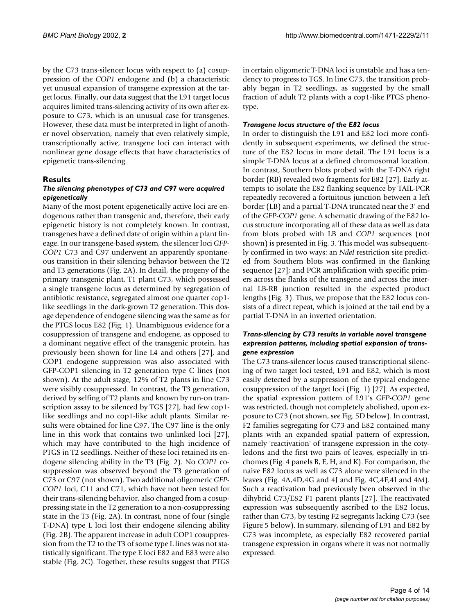by the C73 trans-silencer locus with respect to (a) cosuppression of the *COP1* endogene and (b) a characteristic yet unusual expansion of transgene expression at the target locus. Finally, our data suggest that the L91 target locus acquires limited trans-silencing activity of its own after exposure to C73, which is an unusual case for transgenes. However, these data must be interpreted in light of another novel observation, namely that even relatively simple, transcriptionally active, transgene loci can interact with nonlinear gene dosage effects that have characteristics of epigenetic trans-silencing.

#### **Results**

#### *The silencing phenotypes of C73 and C97 were acquired epigenetically*

Many of the most potent epigenetically active loci are endogenous rather than transgenic and, therefore, their early epigenetic history is not completely known. In contrast, transgenes have a defined date of origin within a plant lineage. In our transgene-based system, the silencer loci *GFP-COP1* C73 and C97 underwent an apparently spontaneous transition in their silencing behavior between the T2 and T3 generations (Fig. [2](#page-5-0)A). In detail, the progeny of the primary transgenic plant, T1 plant C73, which possessed a single transgene locus as determined by segregation of antibiotic resistance, segregated almost one quarter cop1 like seedlings in the dark-grown T2 generation. This dosage dependence of endogene silencing was the same as for the PTGS locus E82 (Fig. [1](#page-3-0)). Unambiguous evidence for a cosuppression of transgene and endogene, as opposed to a dominant negative effect of the transgenic protein, has previously been shown for line L4 and others [[27\]](#page-14-19), and COP1 endogene suppression was also associated with GFP-COP1 silencing in T2 generation type C lines (not shown). At the adult stage, 12% of T2 plants in line C73 were visibly cosuppressed. In contrast, the T3 generation, derived by selfing of T2 plants and known by run-on transcription assay to be silenced by TGS [[27](#page-14-19)], had few cop1 like seedlings and no cop1-like adult plants. Similar results were obtained for line C97. The C97 line is the only line in this work that contains two unlinked loci [\[27](#page-14-19)], which may have contributed to the high incidence of PTGS in T2 seedlings. Neither of these loci retained its endogene silencing ability in the T3 (Fig. [2](#page-5-0)). No *COP1* cosuppression was observed beyond the T3 generation of C73 or C97 (not shown). Two additional oligomeric *GFP-COP1* loci, C11 and C71, which have not been tested for their trans-silencing behavior, also changed from a cosuppressing state in the T2 generation to a non-cosuppressing state in the T3 (Fig. [2](#page-5-0)A). In contrast, none of four (single T-DNA) type L loci lost their endogene silencing ability (Fig. [2B](#page-5-0)). The apparent increase in adult COP1 cosuppression from the T2 to the T3 of some type L lines was not statistically significant. The type E loci E82 and E83 were also stable (Fig. [2](#page-5-0)C). Together, these results suggest that PTGS

in certain oligomeric T-DNA loci is unstable and has a tendency to progress to TGS. In line C73, the transition probably began in T2 seedlings, as suggested by the small fraction of adult T2 plants with a cop1-like PTGS phenotype.

#### *Transgene locus structure of the E82 locus*

In order to distinguish the L91 and E82 loci more confidently in subsequent experiments, we defined the structure of the E82 locus in more detail. The L91 locus is a simple T-DNA locus at a defined chromosomal location. In contrast, Southern blots probed with the T-DNA right border (RB) revealed two fragments for E82 [[27\]](#page-14-19). Early attempts to isolate the E82 flanking sequence by TAIL-PCR repeatedly recovered a fortuitous junction between a left border (LB) and a partial T-DNA truncated near the 3' end of the *GFP-COP1* gene. A schematic drawing of the E82 locus structure incorporating all of these data as well as data from blots probed with LB and *COP1* sequences (not shown) is presented in Fig. [3.](#page-6-0) This model was subsequently confirmed in two ways: an *NdeI* restriction site predicted from Southern blots was confirmed in the flanking sequence [\[27](#page-14-19)]; and PCR amplification with specific primers across the flanks of the transgene and across the internal LB-RB junction resulted in the expected product lengths (Fig. [3\)](#page-6-0). Thus, we propose that the E82 locus consists of a direct repeat, which is joined at the tail end by a partial T-DNA in an inverted orientation.

#### *Trans-silencing by C73 results in variable novel transgene expression patterns, including spatial expansion of transgene expression*

The C73 trans-silencer locus caused transcriptional silencing of two target loci tested, L91 and E82, which is most easily detected by a suppression of the typical endogene cosuppression of the target loci (Fig. [1](#page-3-0)) [\[27](#page-14-19)]. As expected, the spatial expression pattern of L91's *GFP-COP1* gene was restricted, though not completely abolished, upon exposure to C73 (not shown, see Fig. 5D below). In contrast, F2 families segregating for C73 and E82 contained many plants with an expanded spatial pattern of expression, namely 'reactivation' of transgene expression in the cotyledons and the first two pairs of leaves, especially in trichomes (Fig. 4 panels B, E, H, and K). For comparison, the naive E82 locus as well as C73 alone were silenced in the leaves (Fig. 4A,4D,4G and 4J and Fig. 4C,4F,4I and 4M). Such a reactivation had previously been observed in the dihybrid C73/E82 F1 parent plants [[27\]](#page-14-19). The reactivated expression was subsequently ascribed to the E82 locus, rather than C73, by testing F2 segregants lacking C73 (see Figure 5 below). In summary, silencing of L91 and E82 by C73 was incomplete, as especially E82 recovered partial transgene expression in organs where it was not normally expressed.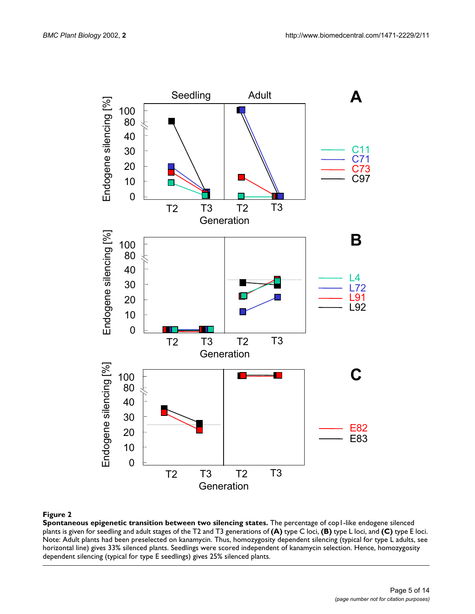<span id="page-5-0"></span>

**Spontaneous epigenetic transition between two silencing states.** The percentage of cop1-like endogene silenced plants is given for seedling and adult stages of the T2 and T3 generations of **(A)** type C loci, **(B)** type L loci, and **(C)** type E loci. Note: Adult plants had been preselected on kanamycin. Thus, homozygosity dependent silencing (typical for type L adults, see horizontal line) gives 33% silenced plants. Seedlings were scored independent of kanamycin selection. Hence, homozygosity dependent silencing (typical for type E seedlings) gives 25% silenced plants.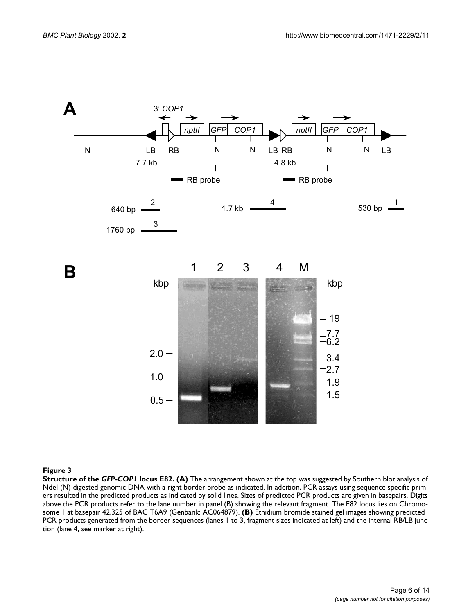<span id="page-6-0"></span>

**Structure of the** *GFP-COP1* **locus E82. (A)** The arrangement shown at the top was suggested by Southern blot analysis of NdeI (N) digested genomic DNA with a right border probe as indicated. In addition, PCR assays using sequence specific primers resulted in the predicted products as indicated by solid lines. Sizes of predicted PCR products are given in basepairs. Digits above the PCR products refer to the lane number in panel (B) showing the relevant fragment. The E82 locus lies on Chromosome 1 at basepair 42,325 of BAC T6A9 (Genbank: AC064879). **(B)** Ethidium bromide stained gel images showing predicted PCR products generated from the border sequences (lanes 1 to 3, fragment sizes indicated at left) and the internal RB/LB junction (lane 4, see marker at right).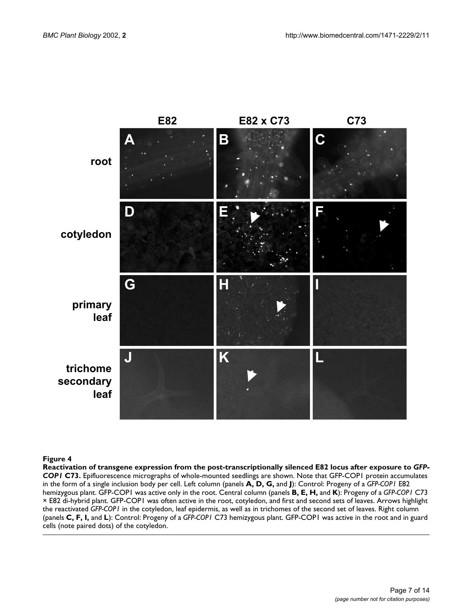

**Reactivation of transgene expression from the post-transcriptionally silenced E82 locus after exposure to** *GFP-COP1* **C73.** Epifluorescence micrographs of whole-mounted seedlings are shown. Note that GFP-COP1 protein accumulates in the form of a single inclusion body per cell. Left column (panels **A, D, G,** and **J**): Control: Progeny of a *GFP-COP1* E82 hemizygous plant. GFP-COP1 was active only in the root. Central column (panels **B, E, H,** and **K**): Progeny of a *GFP-COP1* C73 × E82 di-hybrid plant. GFP-COP1 was often active in the root, cotyledon, and first and second sets of leaves. Arrows highlight the reactivated *GFP-COP1* in the cotyledon, leaf epidermis, as well as in trichomes of the second set of leaves. Right column (panels **C, F, I,** and **L**): Control: Progeny of a *GFP-COP1* C73 hemizygous plant. GFP-COP1 was active in the root and in guard cells (note paired dots) of the cotyledon.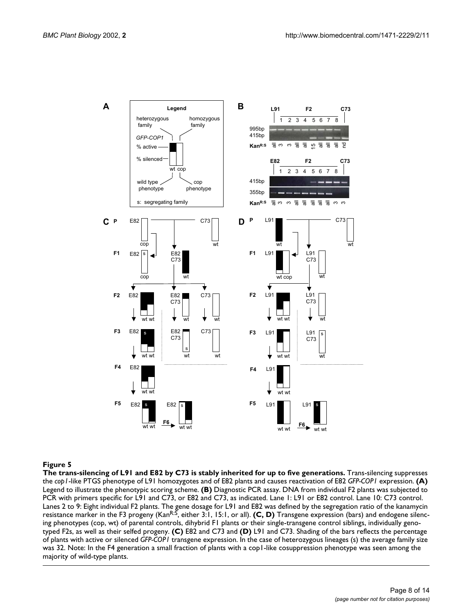

The trans-silencing of L91 and E82 by C73 is stably inherited for up to five generations. Trans-silencing suppresses the *cop1*-like PTGS phenotype of L91 homozygotes and of E82 plants and causes reactivation of E82 *GFP-COP1* expression. **(A)**  Legend to illustrate the phenotypic scoring scheme. **(B)** Diagnostic PCR assay. DNA from individual F2 plants was subjected to PCR with primers specific for L91 and C73, or E82 and C73, as indicated. Lane 1: L91 or E82 control. Lane 10: C73 control. Lanes 2 to 9: Eight individual F2 plants. The gene dosage for L91 and E82 was defined by the segregation ratio of the kanamycin resistance marker in the F3 progeny (KanR:S, either 3:1, 15:1, or all). **(C, D)** Transgene expression (bars) and endogene silencing phenotypes (cop, wt) of parental controls, dihybrid F1 plants or their single-transgene control siblings, individually genotyped F2s, as well as their selfed progeny. **(C)** E82 and C73 and **(D)** L91 and C73. Shading of the bars reflects the percentage of plants with active or silenced *GFP-COP1* transgene expression. In the case of heterozygous lineages (s) the average family size was 32. Note: In the F4 generation a small fraction of plants with a cop1-like cosuppression phenotype was seen among the majority of wild-type plants.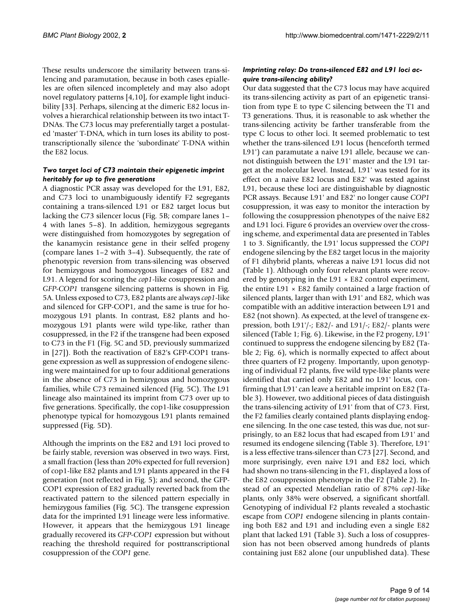These results underscore the similarity between trans-silencing and paramutation, because in both cases epialleles are often silenced incompletely and may also adopt novel regulatory patterns [\[4](#page-13-2)[,10](#page-14-5)], for example light inducibility [\[33\]](#page-14-25). Perhaps, silencing at the dimeric E82 locus involves a hierarchical relationship between its two intact T-DNAs. The C73 locus may preferentially target a postulated 'master' T-DNA, which in turn loses its ability to posttranscriptionally silence the 'subordinate' T-DNA within the E82 locus.

#### *Two target loci of C73 maintain their epigenetic imprint heritably for up to five generations*

A diagnostic PCR assay was developed for the L91, E82, and C73 loci to unambiguously identify F2 segregants containing a trans-silenced L91 or E82 target locus but lacking the C73 silencer locus (Fig. 5B; compare lanes 1– 4 with lanes 5–8). In addition, hemizygous segregants were distinguished from homozygotes by segregation of the kanamycin resistance gene in their selfed progeny (compare lanes 1–2 with 3–4). Subsequently, the rate of phenotypic reversion from trans-silencing was observed for hemizygous and homozygous lineages of E82 and L91. A legend for scoring the *cop1*-like cosuppression and *GFP-COP1* transgene silencing patterns is shown in Fig. 5A. Unless exposed to C73, E82 plants are always *cop1*-like and silenced for GFP-COP1, and the same is true for homozygous L91 plants. In contrast, E82 plants and homozygous L91 plants were wild type-like, rather than cosuppressed, in the F2 if the transgene had been exposed to C73 in the F1 (Fig. 5C and 5D, previously summarized in [\[27](#page-14-19)]). Both the reactivation of E82's GFP-COP1 transgene expression as well as suppression of endogene silencing were maintained for up to four additional generations in the absence of C73 in hemizygous and homozygous families, while C73 remained silenced (Fig. 5C). The L91 lineage also maintained its imprint from C73 over up to five generations. Specifically, the cop1-like cosuppression phenotype typical for homozygous L91 plants remained suppressed (Fig. 5D).

Although the imprints on the E82 and L91 loci proved to be fairly stable, reversion was observed in two ways. First, a small fraction (less than 20% expected for full reversion) of cop1-like E82 plants and L91 plants appeared in the F4 generation (not reflected in Fig. 5); and second, the GFP-COP1 expression of E82 gradually reverted back from the reactivated pattern to the silenced pattern especially in hemizygous families (Fig. 5C). The transgene expression data for the imprinted L91 lineage were less informative. However, it appears that the hemizygous L91 lineage gradually recovered its *GFP-COP1* expression but without reaching the threshold required for posttranscriptional cosuppression of the *COP1* gene.

#### *Imprinting relay: Do trans-silenced E82 and L91 loci acquire trans-silencing ability?*

Our data suggested that the C73 locus may have acquired its trans-silencing activity as part of an epigenetic transition from type E to type C silencing between the T1 and T3 generations. Thus, it is reasonable to ask whether the trans-silencing activity be farther transferable from the type C locus to other loci. It seemed problematic to test whether the trans-silenced L91 locus (henceforth termed L91') can paramutate a naive L91 allele, because we cannot distinguish between the L91' master and the L91 target at the molecular level. Instead, L91' was tested for its effect on a naive E82 locus and E82' was tested against L91, because these loci are distinguishable by diagnostic PCR assays. Because L91' and E82' no longer cause *COP1* cosuppression, it was easy to monitor the interaction by following the cosuppression phenotypes of the naive E82 and L91 loci. Figure 6 provides an overview over the crossing scheme, and experimental data are presented in Tables [1](#page-11-0) to [3](#page-11-1). Significantly, the L91' locus suppressed the *COP1* endogene silencing by the E82 target locus in the majority of F1 dihybrid plants, whereas a naive L91 locus did not (Table [1](#page-11-0)). Although only four relevant plants were recovered by genotyping in the  $L91 \times E82$  control experiment, the entire  $L91 \times E82$  family contained a large fraction of silenced plants, larger than with L91' and E82, which was compatible with an additive interaction between L91 and E82 (not shown). As expected, at the level of transgene expression, both L91'/-; E82/- and L91/-; E82/- plants were silenced (Table [1](#page-11-0); Fig. 6). Likewise, in the F2 progeny, L91' continued to suppress the endogene silencing by E82 (Table [2;](#page-11-2) Fig. 6), which is normally expected to affect about three quarters of F2 progeny. Importantly, upon genotyping of individual F2 plants, five wild type-like plants were identified that carried only E82 and no L91' locus, confirming that L91' can leave a heritable imprint on E82 (Table [3\)](#page-11-1). However, two additional pieces of data distinguish the trans-silencing activity of L91' from that of C73. First, the F2 families clearly contained plants displaying endogene silencing. In the one case tested, this was due, not surprisingly, to an E82 locus that had escaped from L91' and resumed its endogene silencing (Table [3\)](#page-11-1). Therefore, L91' is a less effective trans-silencer than C73 [\[27\]](#page-14-19). Second, and more surprisingly, even naive L91 and E82 loci, which had shown no trans-silencing in the F1, displayed a loss of the E82 cosuppression phenotype in the F2 (Table [2\)](#page-11-2). Instead of an expected Mendelian ratio of 87% *cop1*-like plants, only 38% were observed, a significant shortfall. Genotyping of individual F2 plants revealed a stochastic escape from *COP1* endogene silencing in plants containing both E82 and L91 and including even a single E82 plant that lacked L91 (Table [3\)](#page-11-1). Such a loss of cosuppression has not been observed among hundreds of plants containing just E82 alone (our unpublished data). These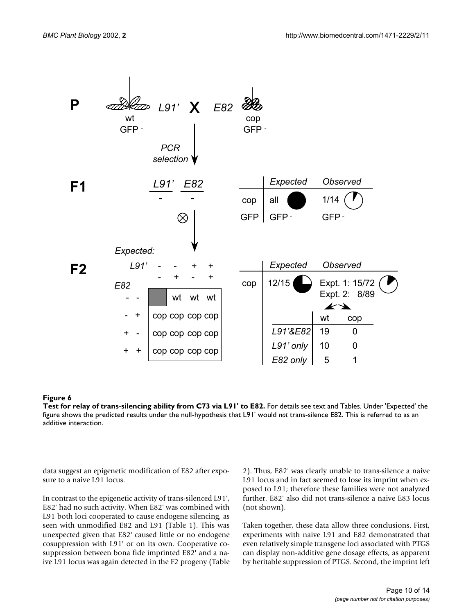

**Test for relay of trans-silencing ability from C73 via L91' to E82.** For details see text and Tables. Under 'Expected' the figure shows the predicted results under the null-hypothesis that L91' would *not* trans-silence E82. This is referred to as an additive interaction.

data suggest an epigenetic modification of E82 after exposure to a naive L91 locus.

In contrast to the epigenetic activity of trans-silenced L91', E82' had no such activity. When E82' was combined with L91 both loci cooperated to cause endogene silencing, as seen with unmodified E82 and L91 (Table [1\)](#page-11-0). This was unexpected given that E82' caused little or no endogene cosuppression with L91' or on its own. Cooperative cosuppression between bona fide imprinted E82' and a naive L91 locus was again detected in the F2 progeny (Table [2](#page-11-2)). Thus, E82' was clearly unable to trans-silence a naive L91 locus and in fact seemed to lose its imprint when exposed to L91; therefore these families were not analyzed further. E82' also did not trans-silence a naive E83 locus (not shown).

Taken together, these data allow three conclusions. First, experiments with naive L91 and E82 demonstrated that even relatively simple transgene loci associated with PTGS can display non-additive gene dosage effects, as apparent by heritable suppression of PTGS. Second, the imprint left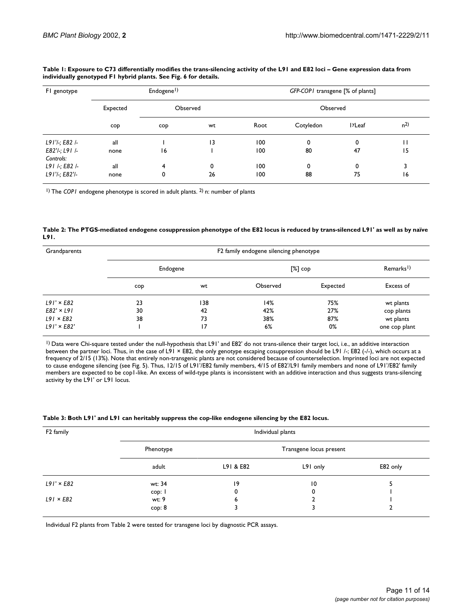| FI genotype                   | Endogene <sup>1</sup> ) |          |    | GFP-COP1 transgene [% of plants] |           |                     |                |
|-------------------------------|-------------------------|----------|----|----------------------------------|-----------|---------------------|----------------|
|                               | Expected                | Observed |    | Observed                         |           |                     |                |
|                               | cop                     | cop      | wt | Root                             | Cotyledon | 1 <sup>y</sup> Leaf | n <sup>2</sup> |
| $L91'$ ; E82 /-               | all                     |          | 13 | 100                              | 0         | 0                   | П              |
| $E82'$ -; L91 /-<br>Controls: | none                    | 16       |    | 100                              | 80        | 47                  | 15             |
| $L91$ /-; $E82$ /-            | all                     | 4        | 0  | 100                              | 0         | 0                   |                |
| L91'/-; E82'/-                | none                    | 0        | 26 | 100                              | 88        | 75                  | 16             |

<span id="page-11-0"></span>**Table 1: Exposure to C73 differentially modifies the trans-silencing activity of the L91 and E82 loci – Gene expression data from individually genotyped F1 hybrid plants. See Fig. 6 for details.**

<sup>1</sup>) The *COP1* endogene phenotype is scored in adult plants. <sup>2</sup>) n: number of plants

#### <span id="page-11-2"></span>**Table 2: The PTGS-mediated endogene cosuppression phenotype of the E82 locus is reduced by trans-silenced L91' as well as by naïve L91.**

| Grandparents       | F2 family endogene silencing phenotype |     |          |          |                      |  |
|--------------------|----------------------------------------|-----|----------|----------|----------------------|--|
|                    | Endogene                               |     | [%] сор  |          | Remarks <sup>1</sup> |  |
|                    | cop                                    | wt  | Observed | Expected | Excess of            |  |
| $L91' \times E82$  | 23                                     | 138 | 14%      | 75%      | wt plants            |  |
| $E82' \times L91$  | 30                                     | 42  | 42%      | 27%      | cop plants           |  |
| $L91 \times E82$   | 38                                     | 73  | 38%      | 87%      | wt plants            |  |
| $L91' \times E82'$ |                                        | 17  | 6%       | 0%       | one cop plant        |  |

1) Data were Chi-square tested under the null-hypothesis that L91' and E82' do not trans-silence their target loci, i.e., an additive interaction between the partner loci. Thus, in the case of L91 × E82, the only genotype escaping cosuppression should be L91 /-; E82 (-/-), which occurs at a frequency of 2/15 (13%). Note that entirely non-transgenic plants are not considered because of counterselection. Imprinted loci are not expected to cause endogene silencing (see Fig. 5). Thus, 12/15 of L91'/E82 family members, 4/15 of E82'/L91 family members and none of L91'/E82' family members are expected to be cop1-like. An excess of wild-type plants is inconsistent with an additive interaction and thus suggests trans-silencing activity by the L91' or L91 locus.

<span id="page-11-1"></span>

| F <sub>2</sub> family | Individual plants |                         |          |          |  |  |
|-----------------------|-------------------|-------------------------|----------|----------|--|--|
|                       | Phenotype         | Transgene locus present |          |          |  |  |
|                       | adult             | L91 & E82               | L91 only | E82 only |  |  |
| $L91' \times E82$     | wt: 34            | 19                      | 10       |          |  |  |
|                       | cop: I            | 0                       | 0        |          |  |  |
| $L91 \times E82$      | wt: 9             | ь                       |          |          |  |  |
|                       | cop: 8            |                         |          |          |  |  |

Individual F2 plants from Table [2](#page-11-2) were tested for transgene loci by diagnostic PCR assays.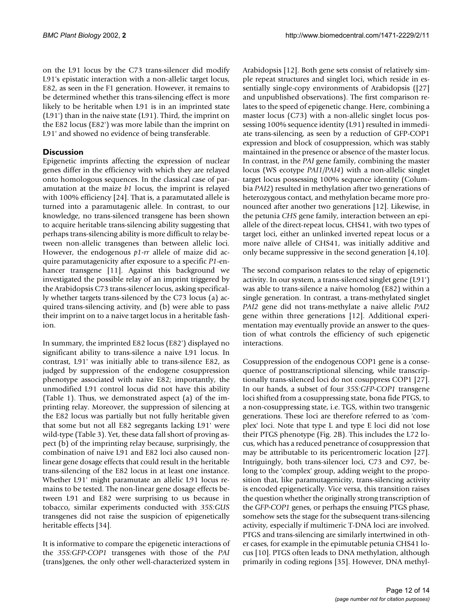on the L91 locus by the C73 trans-silencer did modify L91's epistatic interaction with a non-allelic target locus, E82, as seen in the F1 generation. However, it remains to be determined whether this trans-silencing effect is more likely to be heritable when L91 is in an imprinted state (L91') than in the naive state (L91). Third, the imprint on the E82 locus (E82') was more labile than the imprint on L91' and showed no evidence of being transferable.

#### **Discussion**

Epigenetic imprints affecting the expression of nuclear genes differ in the efficiency with which they are relayed onto homologous sequences. In the classical case of paramutation at the maize *b1* locus, the imprint is relayed with 100% efficiency [\[24](#page-14-15)]. That is, a paramutated allele is turned into a paramutagenic allele. In contrast, to our knowledge, no trans-silenced transgene has been shown to acquire heritable trans-silencing ability suggesting that perhaps trans-silencing ability is more difficult to relay between non-allelic transgenes than between allelic loci. However, the endogenous *p1-rr* allele of maize did acquire paramutagenicity after exposure to a specific *P1*-en-hancer transgene [[11\]](#page-14-2). Against this background we investigated the possible relay of an imprint triggered by the Arabidopsis C73 trans-silencer locus, asking specifically whether targets trans-silenced by the C73 locus (a) acquired trans-silencing activity, and (b) were able to pass their imprint on to a naive target locus in a heritable fashion.

In summary, the imprinted E82 locus (E82') displayed no significant ability to trans-silence a naive L91 locus. In contrast, L91' was initially able to trans-silence E82, as judged by suppression of the endogene cosuppression phenotype associated with naive E82; importantly, the unmodified L91 control locus did not have this ability (Table [1](#page-11-0)). Thus, we demonstrated aspect (a) of the imprinting relay. Moreover, the suppression of silencing at the E82 locus was partially but not fully heritable given that some but not all E82 segregants lacking L91' were wild-type (Table [3\)](#page-11-1). Yet, these data fall short of proving aspect (b) of the imprinting relay because, surprisingly, the combination of naive L91 and E82 loci also caused nonlinear gene dosage effects that could result in the heritable trans-silencing of the E82 locus in at least one instance. Whether L91' might paramutate an allelic L91 locus remains to be tested. The non-linear gene dosage effects between L91 and E82 were surprising to us because in tobacco, similar experiments conducted with *35S:GUS* transgenes did not raise the suspicion of epigenetically heritable effects [\[34\]](#page-14-26).

It is informative to compare the epigenetic interactions of the *35S:GFP-COP1* transgenes with those of the *PAI* (trans)genes, the only other well-characterized system in

Arabidopsis [\[12\]](#page-14-3). Both gene sets consist of relatively simple repeat structures and singlet loci, which reside in essentially single-copy environments of Arabidopsis ([[27\]](#page-14-19) and unpublished observations). The first comparison relates to the speed of epigenetic change. Here, combining a master locus (C73) with a non-allelic singlet locus possessing 100% sequence identity (L91) resulted in immediate trans-silencing, as seen by a reduction of GFP-COP1 expression and block of cosuppression, which was stably maintained in the presence or absence of the master locus. In contrast, in the *PAI* gene family, combining the master locus (WS ecotype *PAI1/PAI4*) with a non-allelic singlet target locus possessing 100% sequence identity (Columbia *PAI2*) resulted in methylation after two generations of heterozygous contact, and methylation became more pronounced after another two generations [\[12](#page-14-3)]. Likewise, in the petunia *CHS* gene family, interaction between an epiallele of the direct-repeat locus, CHS41, with two types of target loci, either an unlinked inverted repeat locus or a more naïve allele of CHS41, was initially additive and only became suppressive in the second generation [\[4](#page-13-2)[,10](#page-14-5)].

The second comparison relates to the relay of epigenetic activity. In our system, a trans-silenced singlet gene (L91') was able to trans-silence a naive homolog (E82) within a single generation. In contrast, a trans-methylated singlet *PAI2* gene did not trans-methylate a naive allelic *PAI2* gene within three generations [[12](#page-14-3)]. Additional experimentation may eventually provide an answer to the question of what controls the efficiency of such epigenetic interactions.

Cosuppression of the endogenous COP1 gene is a consequence of posttranscriptional silencing, while transcriptionally trans-silenced loci do not cosuppress COP1 [\[27](#page-14-19)]. In our hands, a subset of four *35S:GFP-COP1* transgene loci shifted from a cosuppressing state, bona fide PTGS, to a non-cosuppressing state, i.e. TGS, within two transgenic generations. These loci are therefore referred to as 'complex' loci. Note that type L and type E loci did not lose their PTGS phenotype (Fig. [2](#page-5-0)B). This includes the L72 locus, which has a reduced penetrance of cosuppression that may be attributable to its pericentromeric location [\[27](#page-14-19)]. Intriguingly, both trans-silencer loci, C73 and C97, belong to the 'complex' group, adding weight to the proposition that, like paramutagenicity, trans-silencing activity is encoded epigenetically. Vice versa, this transition raises the question whether the originally strong transcription of the *GFP-COP1* genes, or perhaps the ensuing PTGS phase, somehow sets the stage for the subsequent trans-silencing activity, especially if multimeric T-DNA loci are involved. PTGS and trans-silencing are similarly intertwined in other cases, for example in the epimutable petunia CHS41 locus [\[10](#page-14-5)]. PTGS often leads to DNA methylation, although primarily in coding regions [[35\]](#page-14-27). However, DNA methyl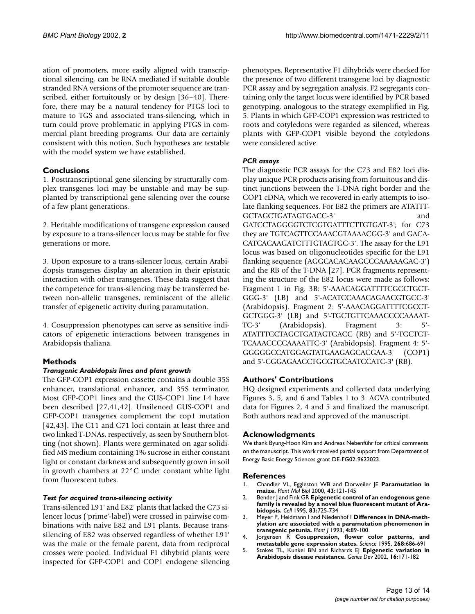ation of promoters, more easily aligned with transcriptional silencing, can be RNA mediated if suitable double stranded RNA versions of the promoter sequence are transcribed, either fortuitously or by design [[36–](#page-14-28)[40\]](#page-14-29). Therefore, there may be a natural tendency for PTGS loci to mature to TGS and associated trans-silencing, which in turn could prove problematic in applying PTGS in commercial plant breeding programs. Our data are certainly consistent with this notion. Such hypotheses are testable with the model system we have established.

#### **Conclusions**

1. Posttranscriptional gene silencing by structurally complex transgenes loci may be unstable and may be supplanted by transcriptional gene silencing over the course of a few plant generations.

2. Heritable modifications of transgene expression caused by exposure to a trans-silencer locus may be stable for five generations or more.

3. Upon exposure to a trans-silencer locus, certain Arabidopsis transgenes display an alteration in their epistatic interaction with other transgenes. These data suggest that the competence for trans-silencing may be transferred between non-allelic transgenes, reminiscent of the allelic transfer of epigenetic activity during paramutation.

4. Cosuppression phenotypes can serve as sensitive indicators of epigenetic interactions between transgenes in Arabidopsis thaliana.

#### **Methods**

#### *Transgenic Arabidopsis lines and plant growth*

The GFP-COP1 expression cassette contains a double 35S enhancer, translational enhancer, and 35S terminator. Most GFP-COP1 lines and the GUS-COP1 line L4 have been described [[27,](#page-14-19)[41](#page-14-30),[42](#page-14-31)]. Unsilenced GUS-COP1 and GFP-COP1 transgenes complement the cop1 mutation [[42](#page-14-31),[43\]](#page-14-32). The C11 and C71 loci contain at least three and two linked T-DNAs, respectively, as seen by Southern blotting (not shown). Plants were germinated on agar solidified MS medium containing 1% sucrose in either constant light or constant darkness and subsequently grown in soil in growth chambers at 22°C under constant white light from fluorescent tubes.

#### *Test for acquired trans-silencing activity*

Trans-silenced L91' and E82' plants that lacked the C73 silencer locus ('prime'-label) were crossed in pairwise combinations with naive E82 and L91 plants. Because transsilencing of E82 was observed regardless of whether L91' was the male or the female parent, data from reciprocal crosses were pooled. Individual F1 dihybrid plants were inspected for GFP-COP1 and COP1 endogene silencing phenotypes. Representative F1 dihybrids were checked for the presence of two different transgene loci by diagnostic PCR assay and by segregation analysis. F2 segregants containing only the target locus were identified by PCR based genotyping, analogous to the strategy exemplified in Fig. 5. Plants in which GFP-COP1 expression was restricted to roots and cotyledons were regarded as silenced, whereas plants with GFP-COP1 visible beyond the cotyledons were considered active.

#### *PCR assays*

The diagnostic PCR assays for the C73 and E82 loci display unique PCR products arising from fortuitous and distinct junctions between the T-DNA right border and the COP1 cDNA, which we recovered in early attempts to isolate flanking sequences. For E82 the primers are ATATTT-GCTAGCTGATAGTGACC-3' and GATCCTAGGGGTCTCGTGATTTCTTGTGAT-3'; for C73 they are TGTCAGTTCCAAACGTAAAACGG-3' and GACA-CATCACAAGATCTTTGTAGTGC-3'. The assay for the L91 locus was based on oligonucleotides specific for the L91 flanking sequence (AGGCACACAAGCCCAAAAAGAC-3') and the RB of the T-DNA [[27\]](#page-14-19). PCR fragments representing the structure of the E82 locus were made as follows: Fragment 1 in Fig. [3B](#page-6-0): 5'-AAACAGGATTTTCGCCTGCT-GGG-3' (LB) and 5'-ACATCCAAACAGAACGTGCC-3' (Arabidopsis). Fragment 2: 5'-AAACAGGATTTTCGCCT-GCTGGG-3' (LB) and 5'-TGCTGTTCAAACCCCAAAAT-TC-3' (Arabidopsis). Fragment 3: 5'- ATATTTGCTAGCTGATAGTGACC (RB) and 5'-TGCTGT-TCAAACCCCAAAATTC-3' (Arabidopsis). Fragment 4: 5'- GGGGGCCATGGAGTATGAAGAGCACGAA-3' (COP1) and 5'-CGGAGAACCTGCGTGCAATCCATC-3' (RB).

#### **Authors' Contributions**

HQ designed experiments and collected data underlying Figures [3](#page-6-0), 5, and 6 and Tables [1](#page-11-0) to [3.](#page-11-1) AGVA contributed data for Figures [2](#page-5-0), 4 and 5 and finalized the manuscript. Both authors read and approved of the manuscript.

#### **Acknowledgments**

We thank Byung-Hoon Kim and Andreas Nebenführ for critical comments on the manuscript. This work received partial support from Department of Energy Basic Energy Sciences grant DE-FG02-9622023.

#### **References**

- <span id="page-13-0"></span>1. Chandler VL, Eggleston WB and Dorweiler JE **[Paramutation in](http://www.ncbi.nlm.nih.gov/entrez/query.fcgi?cmd=Retrieve&db=PubMed&dopt=Abstract&list_uids=10999400) [maize.](http://www.ncbi.nlm.nih.gov/entrez/query.fcgi?cmd=Retrieve&db=PubMed&dopt=Abstract&list_uids=10999400)** *Plant Mol Biol* 2000, **43:**121-145
- <span id="page-13-1"></span>2. Bender J and Fink GR **[Epigenetic control of an endogenous gene](http://www.ncbi.nlm.nih.gov/entrez/query.fcgi?cmd=Retrieve&db=PubMed&dopt=Abstract&list_uids=8521489) [family is revealed by a novel blue fluorescent mutant of Ara](http://www.ncbi.nlm.nih.gov/entrez/query.fcgi?cmd=Retrieve&db=PubMed&dopt=Abstract&list_uids=8521489)[bidopsis.](http://www.ncbi.nlm.nih.gov/entrez/query.fcgi?cmd=Retrieve&db=PubMed&dopt=Abstract&list_uids=8521489)** *Cell* 1995, **83:**725-734
- <span id="page-13-4"></span>3. Meyer P, Heidmann I and Niedenhof I **[Differences in DNA-meth](http://www.ncbi.nlm.nih.gov/entrez/query.fcgi?cmd=Retrieve&db=PubMed&dopt=Abstract&list_uids=8220478)[ylation are associated with a paramutation phenomenon in](http://www.ncbi.nlm.nih.gov/entrez/query.fcgi?cmd=Retrieve&db=PubMed&dopt=Abstract&list_uids=8220478) [transgenic petunia.](http://www.ncbi.nlm.nih.gov/entrez/query.fcgi?cmd=Retrieve&db=PubMed&dopt=Abstract&list_uids=8220478)** *Plant J* 1993, **4:**89-100
- <span id="page-13-2"></span>4. Jorgensen R **Cosuppression, flower color patterns, and metastable gene expression states.** *Science* 1995, **268:**686-691
- <span id="page-13-3"></span>5. Stokes TL, Kunkel BN and Richards EJ **[Epigenetic variation in](http://www.ncbi.nlm.nih.gov/entrez/query.fcgi?cmd=Retrieve&db=PubMed&dopt=Abstract&list_uids=11799061) [Arabidopsis disease resistance.](http://www.ncbi.nlm.nih.gov/entrez/query.fcgi?cmd=Retrieve&db=PubMed&dopt=Abstract&list_uids=11799061)** *Genes Dev* 2002, **16:**171-182